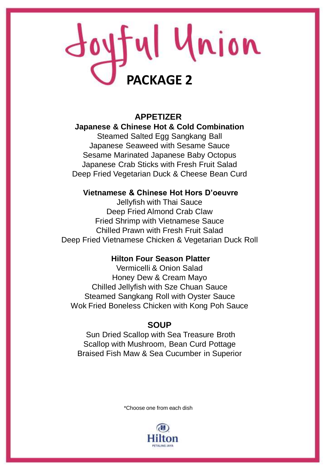# Joyful Union **PACKAGE 2**

# **APPETIZER Japanese & Chinese Hot & Cold Combination** Steamed Salted Egg Sangkang Ball Japanese Seaweed with Sesame Sauce Sesame Marinated Japanese Baby Octopus Japanese Crab Sticks with Fresh Fruit Salad Deep Fried Vegetarian Duck & Cheese Bean Curd

## **Vietnamese & Chinese Hot Hors D'oeuvre**

Jellyfish with Thai Sauce Deep Fried Almond Crab Claw Fried Shrimp with Vietnamese Sauce Chilled Prawn with Fresh Fruit Salad Deep Fried Vietnamese Chicken & Vegetarian Duck Roll

## **Hilton Four Season Platter**

Vermicelli & Onion Salad Honey Dew & Cream Mayo Chilled Jellyfish with Sze Chuan Sauce Steamed Sangkang Roll with Oyster Sauce Wok Fried Boneless Chicken with Kong Poh Sauce

## **SOUP**

Sun Dried Scallop with Sea Treasure Broth Scallop with Mushroom, Bean Curd Pottage Braised Fish Maw & Sea Cucumber in Superior

\*Choose one from each dish